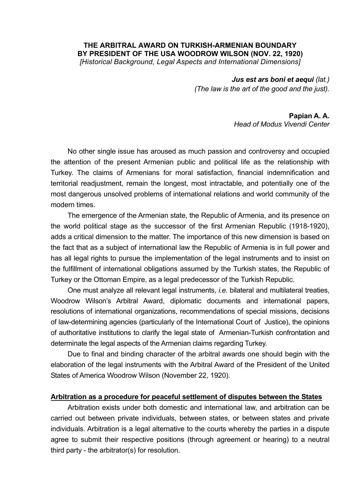### **THE ARBITRAL AWARD ON TURKISH-ARMENIAN BOUNDARY BY PRESIDENT OF THE USA WOODROW WILSON (NOV. 22, 1920)**  *[Historical Background, Legal Aspects and International Dimensions]*

*Jus est ars boni et aequi (lat.) (The law is the art of the good and the just).* 

#### **Papian A. A.**  *Head of Modus Vivendi Center*

No other single issue has aroused as much passion and controversy and occupied the attention of the present Armenian public and political life as the relationship with Turkey. The claims of Armenians for moral satisfaction, financial indemnification and territorial readjustment, remain the longest, most intractable, and potentially one of the most dangerous unsolved problems of international relations and world community of the modern times.

The emergence of the Armenian state, the Republic of Armenia, and its presence on the world political stage as the successor of the first Armenian Republic (1918-1920), adds a critical dimension to the matter. The importance of this new dimension is based on the fact that as a subject of international law the Republic of Armenia is in full power and has all legal rights to pursue the implementation of the legal instruments and to insist on the fulfillment of international obligations assumed by the Turkish states, the Republic of Turkey or the Ottoman Empire, as a legal predecessor of the Turkish Republic.

One must analyze all relevant legal instruments, *i.e.* bilateral and multilateral treaties, Woodrow Wilson's Arbitral Award, diplomatic documents and international papers, resolutions of international organizations, recommendations of special missions, decisions of law-determining agencies (particularly of the International Court of Justice), the opinions of authoritative institutions to clarify the legal state of Armenian-Turkish confrontation and determinate the legal aspects of the Armenian claims regarding Turkey.

Due to final and binding character of the arbitral awards one should begin with the elaboration of the legal instruments with the Arbitral Award of the President of the United States of America Woodrow Wilson (November 22, 1920).

## **Arbitration as a procedure for peaceful settlement of disputes between the States**

Arbitration exists under both domestic and international law, and arbitration can be carried out between private individuals, between states, or between states and private individuals. Arbitration is a legal alternative to the courts whereby the parties in a dispute agree to submit their respective positions (through agreement or hearing) to a neutral third party - the arbitrator(s) for resolution.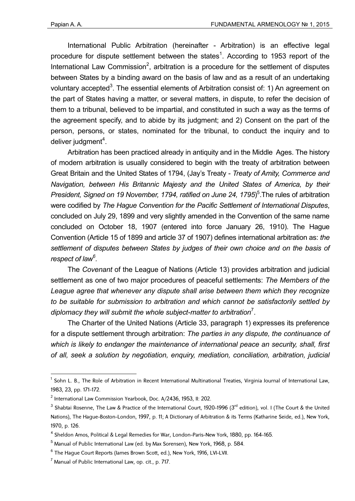International Public Arbitration (hereinafter - Arbitration) is an effective legal procedure for dispute settlement between the states<sup>1</sup>. According to 1953 report of the International Law Commission<sup>2</sup>, arbitration is a procedure for the settlement of disputes between States by a binding award on the basis of law and as a result of an undertaking voluntary accepted<sup>3</sup>. The essential elements of Arbitration consist of: 1) An agreement on the part of States having a matter, or several matters, in dispute, to refer the decision of them to a tribunal, believed to be impartial, and constituted in such a way as the terms of the agreement specify, and to abide by its judgment; and 2) Consent on the part of the person, persons, or states, nominated for the tribunal, to conduct the inquiry and to deliver judgment<sup>4</sup>.

Arbitration has been practiced already in antiquity and in the Middle Ages. The history of modern arbitration is usually considered to begin with the treaty of arbitration between Great Britain and the United States of 1794, (Jay's Treaty - *Treaty of Amity, Commerce and Navigation, between His Britannic Majesty and the United States of America, by their*  President, Signed on 19 November, 1794, ratified on June 24, 1795)<sup>5</sup>. The rules of arbitration were codified by *The Hague Convention for the Pacific Settlement of International Disputes*, concluded on July 29, 1899 and very slightly amended in the Convention of the same name concluded on October 18, 1907 (entered into force January 26, 1910). The Hague Convention (Article 15 of 1899 and article 37 of 1907) defines international arbitration as: *the settlement of disputes between States by judges of their own choice and on the basis of respect of law6 .* 

The *Covenant* of the League of Nations (Article 13) provides arbitration and judicial settlement as one of two major procedures of peaceful settlements: *The Members of the League agree that whenever any dispute shall arise between them which they recognize to be suitable for submission to arbitration and which cannot be satisfactorily settled by diplomacy they will submit the whole subject-matter to arbitration*<sup>7</sup> .

The Charter of the United Nations (Article 33, paragraph 1) expresses its preference for a dispute settlement through arbitration: *The parties in any dispute, the continuance of which is likely to endanger the maintenance of international peace an security, shall, first of all, seek a solution by negotiation, enquiry, mediation, conciliation, arbitration, judicial* 

<u>.</u>

<sup>&</sup>lt;sup>1</sup> Sohn L. B., The Role of Arbitration in Recent International Multinational Treaties, Virginia Journal of International Law, 1983, 23, pp. 171-172.

 $^2$  International Law Commission Yearbook, Doc. A/2436, 1953, II: 202.

 $^3$  Shabtai Rosenne, The Law & Practice of the International Court, 1920–1996 (3<sup>rd</sup> edition), vol. I (The Court & the United Nations), The Hague-Boston-London, 1997, p. 11; A Dictionary of Arbitration & its Terms (Katharine Seide, ed.), New York, 1970, p. 126.

<sup>&</sup>lt;sup>4</sup> Sheldon Amos, Political & Legal Remedies for War, London-Paris-New York, 1880, pp. 164-165.

 $^5$  Manual of Public International Law (ed. by Max Sorensen), New York, 1968, p. 584.

 $^6$  The Hague Court Reports (James Brown Scott, ed.), New York, 1916, LVI-LVII.

 $^7$  Manual of Public International Law, op. cit., p. 717.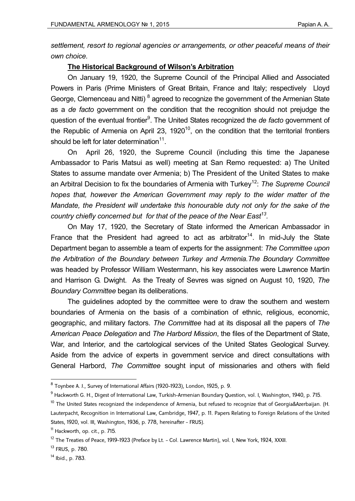*settlement, resort to regional agencies or arrangements, or other peaceful means of their own choice.* 

# **The Historical Background of Wilson's Arbitration**

On January 19, 1920, the Supreme Council of the Principal Allied and Associated Powers in Paris (Prime Ministers of Great Britain, France and Italy; respectively Lloyd George, Clemenceau and Nitti)<sup>8</sup> agreed to recognize the government of the Armenian State as a *de facto* government on the condition that the recognition should not prejudge the question of the eventual frontier<sup>9</sup>. The United States recognized the *de facto* government of the Republic of Armenia on April 23, 1920 $^{10}$ , on the condition that the territorial frontiers should be left for later determination $11$ .

On April 26, 1920, the Supreme Council (including this time the Japanese Ambassador to Paris Matsui as well) meeting at San Remo requested: a) The United States to assume mandate over Armenia; b) The President of the United States to make an Arbitral Decision to fix the boundaries of Armenia with Turkey<sup>12</sup>: *The Supreme Council hopes that, however the American Government may reply to the wider matter of the Mandate, the President will undertake this honourable duty not only for the sake of the country chiefly concerned but for that of the peace of the Near East13.* 

On May 17, 1920, the Secretary of State informed the American Ambassador in France that the President had agreed to act as arbitrator<sup>14</sup>. In mid-July the State Department began to assemble a team of experts for the assignment: *The Committee upon the Arbitration of the Boundary between Turkey and Armenia.The Boundary Committee* was headed by Professor William Westermann, his key associates were Lawrence Martin and Harrison G. Dwight. As the Treaty of Sevres was signed on August 10, 1920, *The Boundary Committee* began its deliberations.

The guidelines adopted by the committee were to draw the southern and western boundaries of Armenia on the basis of a combination of ethnic, religious, economic, geographic, and military factors. *The Committee* had at its disposal all the papers of *The American Peace Delegation* and *The Harbord Mission*, the files of the Department of State, War, and Interior, and the cartological services of the United States Geological Survey. Aside from the advice of experts in government service and direct consultations with General Harbord, *The Committee* sought input of missionaries and others with field

 $^8$  Toynbee A. J., Survey of International Affairs (1920–1923), London, 1925, p. 9.  $\,$ 

<sup>&</sup>lt;sup>9</sup> Hackworth G. H., Digest of International Law, Turkish-Armenian Boundary Question, vol. I, Washington, 1940, p. 715.

 $10$  The United States recognized the independence of Armenia, but refused to recognize that of Georgia&Azerbaijan. (H. Lauterpacht, Recognition in International Law, Cambridge, 1947, p. 11. Papers Relating to Foreign Relations of the United States, 1920, vol. III, Washington, 1936, p. 778, hereinafter - FRUS).

 $11$  Hackworth, op. cit., p.  $715$ .

 $^{12}$  The Treaties of Peace, 1919-1923 (Preface by Lt. - Col. Lawrence Martin), vol. I, New York, 1924, XXXII.

<sup>13</sup> FRUS, p. 780.

<sup>14</sup> Ibid., p. 783.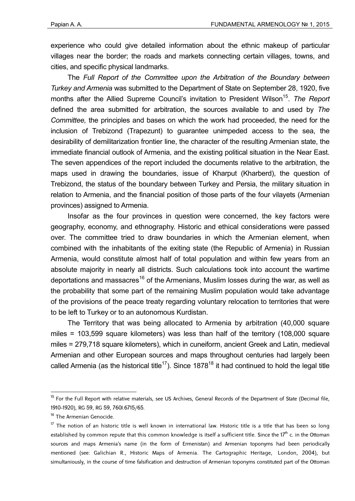experience who could give detailed information about the ethnic makeup of particular villages near the border; the roads and markets connecting certain villages, towns, and cities, and specific physical landmarks.

The *Full Report of the Committee upon the Arbitration of the Boundary between Turkey and Armenia* was submitted to the Department of State on September 28, 1920, five months after the Allied Supreme Council's invitation to President Wilson<sup>15</sup>. The Report defined the area submitted for arbitration, the sources available to and used by *The Committee,* the principles and bases on which the work had proceeded, the need for the inclusion of Trebizond (Trapezunt) to guarantee unimpeded access to the sea, the desirability of demilitarization frontier line, the character of the resulting Armenian state, the immediate financial outlook of Armenia, and the existing political situation in the Near East. The seven appendices of the report included the documents relative to the arbitration, the maps used in drawing the boundaries, issue of Kharput (Kharberd), the question of Trebizond, the status of the boundary between Turkey and Persia, the military situation in relation to Armenia, and the financial position of those parts of the four vilayets (Armenian provinces) assigned to Armenia.

Insofar as the four provinces in question were concerned, the key factors were geography, economy, and ethnography. Historic and ethical considerations were passed over. The committee tried to draw boundaries in which the Armenian element, when combined with the inhabitants of the exiting state (the Republic of Armenia) in Russian Armenia, would constitute almost half of total population and within few years from an absolute majority in nearly all districts. Such calculations took into account the wartime deportations and massacres<sup>16</sup> of the Armenians, Muslim losses during the war, as well as the probability that some part of the remaining Muslim population would take advantage of the provisions of the peace treaty regarding voluntary relocation to territories that were to be left to Turkey or to an autonomous Kurdistan.

The Territory that was being allocated to Armenia by arbitration (40,000 square miles = 103,599 square kilometers) was less than half of the territory (108,000 square miles = 279,718 square kilometers), which in cuneiform, ancient Greek and Latin, medieval Armenian and other European sources and maps throughout centuries had largely been called Armenia (as the historical title<sup>17</sup>). Since  $1878^{18}$  it had continued to hold the legal title

<sup>&</sup>lt;sup>15</sup> For the Full Report with relative materials, see US Archives, General Records of the Department of State (Decimal file, 1910-1920), RG 59, RG 59, 760J.6715/65.

<sup>&</sup>lt;sup>16</sup> The Armenian Genocide.

 $17$  The notion of an historic title is well known in international law. Historic title is a title that has been so long established by common repute that this common knowledge is itself a sufficient title. Since the 17<sup>th</sup> c. in the Ottoman sources and maps Armenia's name (in the form of Ermenistan) and Armenian toponyms had been periodically mentioned (see: Galichian R., Historic Maps of Armenia. The Cartographic Heritage, London, 2004), but simultaniously, in the course of time falsification and destruction of Armenian toponyms constituted part of the Ottoman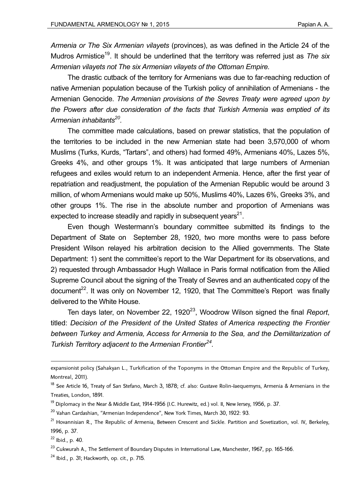*Armenia or The Six Armenian vilayets* (provinces), as was defined in the Article 24 of the Mudros Armistice<sup>19</sup>. It should be underlined that the territory was referred just as *The six Armenian vilayets not The six Armenian vilayets of the Ottoman Empire.* 

The drastic cutback of the territory for Armenians was due to far-reaching reduction of native Armenian population because of the Turkish policy of annihilation of Armenians - the Armenian Genocide. *The Armenian provisions of the Sevres Treaty were agreed upon by the Powers after due consideration of the facts that Turkish Armenia was emptied of its Armenian inhabitants20.*

The committee made calculations, based on prewar statistics, that the population of the territories to be included in the new Armenian state had been 3,570,000 of whom Muslims (Turks, Kurds, "Tartars", and others) had formed 49%, Armenians 40%, Lazes 5%, Greeks 4%, and other groups 1%. It was anticipated that large numbers of Armenian refugees and exiles would return to an independent Armenia. Hence, after the first year of repatriation and readjustment, the population of the Armenian Republic would be around 3 million, of whom Armenians would make up 50%, Muslims 40%, Lazes 6%, Greeks 3%, and other groups 1%. The rise in the absolute number and proportion of Armenians was expected to increase steadily and rapidly in subsequent years $21$ .

Even though Westermann's boundary committee submitted its findings to the Department of State on September 28, 1920, two more months were to pass before President Wilson relayed his arbitration decision to the Allied governments. The State Department: 1) sent the committee's report to the War Department for its observations, and 2) requested through Ambassador Hugh Wallace in Paris formal notification from the Allied Supreme Council about the signing of the Treaty of Sevres and an authenticated copy of the document<sup>22</sup>. It was only on November 12, 1920, that The Committee's Report was finally delivered to the White House.

Ten days later, on November 22, 1920<sup>23</sup>, Woodrow Wilson signed the final *Report*, titled: *Decision of the President of the United States of America respecting the Frontier between Turkey and Armenia, Access for Armenia to the Sea, and the Demilitarization of Turkish Territory adjacent to the Armenian Frontier24.*

expansionist policy (Sahakyan L., Turkification of the Toponyms in the Ottoman Empire and the Republic of Turkey, Montreal, 2011).

<sup>&</sup>lt;sup>18</sup> See Article 16, Treaty of San Stefano, March 3, 1878; cf. also: Gustave Rolin-Jaequemyns, Armenia & Armenians in the Treaties, London, 1891.

 $19$  Diplomacy in the Near & Middle East, 1914-1956 (J.C. Hurewitz, ed.) vol. II, New Jersey, 1956, p. 37.

<sup>&</sup>lt;sup>20</sup> Vahan Cardashian, "Armenian Independence", New York Times, March 30, 1922: 93.

<sup>&</sup>lt;sup>21</sup> Hovannisian R., The Republic of Armenia, Between Crescent and Sickle. Partition and Sovetization, vol. IV, Berkeley, 1996, p. 37.

 $22$  Ibid., p. 40.

<sup>&</sup>lt;sup>23</sup> Cukwurah A., The Settlement of Boundary Disputes in International Law, Manchester, 1967, pp. 165-166.

 $24$  Ibid., p. 31; Hackworth, op. cit., p. 715.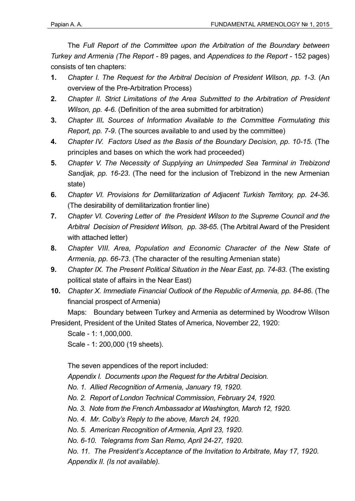The *Full Report of the Committee upon the Arbitration of the Boundary between Turkey and Armenia (The Report -* 89 pages, and *Appendices to the Report -* 152 pages) consists of ten chapters:

- **1.** *Chapter I. The Request for the Arbitral Decision of President Wilson, pp. 1-3*. (An overview of the Pre-Arbitration Process)
- **2.** *Chapter II. Strict Limitations of the Area Submitted to the Arbitration of President Wilson, pp. 4-6.* (Definition of the area submitted for arbitration)
- **3.** *Chapter III. Sources of Information Available to the Committee Formulating this Report, pp. 7-9*. (The sources available to and used by the committee)
- **4.** *Chapter IV. Factors Used as the Basis of the Boundary Decision, pp. 10-15.* (The principles and bases on which the work had proceeded)
- **5.** *Chapter V. The Necessity of Supplying an Unimpeded Sea Terminal in Trebizond Sandjak, pp. 16-23*. (The need for the inclusion of Trebizond in the new Armenian state)
- **6.** *Chapter VI. Provisions for Demilitarization of Adjacent Turkish Territory, pp. 24-36*. (The desirability of demilitarization frontier line)
- **7.** *Chapter VI. Covering Letter of the President Wilson to the Supreme Council and the Arbitral Decision of President Wilson, pp. 38-65*. (The Arbitral Award of the President with attached letter)
- **8.** *Chapter VIII. Area, Population and Economic Character of the New State of Armenia, pp. 66-73*. (The character of the resulting Armenian state)
- **9.** *Chapter IX. The Present Political Situation in the Near East, pp. 74-83*. (The existing political state of affairs in the Near East)
- **10.** *Chapter X. Immediate Financial Outlook of the Republic of Armenia, pp. 84-86*. (The financial prospect of Armenia)

Maps: Boundary between Turkey and Armenia as determined by Woodrow Wilson President, President of the United States of America, November 22, 1920:

Scale - 1: 1,000,000.

Scale - 1: 200,000 (19 sheets).

The seven appendices of the report included:

*Appendix I. Documents upon the Request for the Arbitral Decision.* 

- *No. 1. Allied Recognition of Armenia, January 19, 1920.*
- *No. 2. Report of London Technical Commission, February 24, 1920.*
- *No. 3. Note from the French Ambassador at Washington, March 12, 1920.*
- *No. 4. Mr. Colby's Reply to the above, March 24, 1920.*
- *No. 5. American Recognition of Armenia, April 23, 1920.*

*No. 6-10. Telegrams from San Remo, April 24-27, 1920.* 

*No. 11. The President's Acceptance of the Invitation to Arbitrate, May 17, 1920. Appendix II. (Is not available).*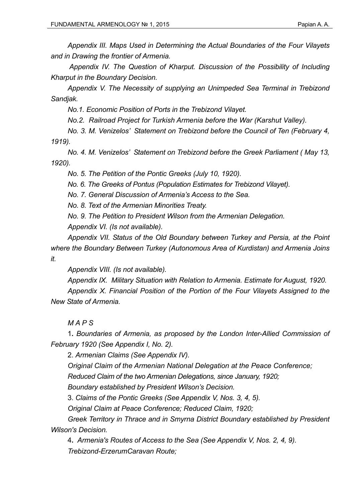*Appendix III. Maps Used in Determining the Actual Boundaries of the Four Vilayets and in Drawing the frontier of Armenia.* 

 *Appendix IV. The Question of Kharput. Discussion of the Possibility of Including Kharput in the Boundary Decision.* 

*Appendix V. The Necessity of supplying an Unimpeded Sea Terminal in Trebizond Sandjak.* 

*No.1. Economic Position of Ports in the Trebizond Vilayet.* 

*No.2. Railroad Project for Turkish Armenia before the War (Karshut Valley).* 

*No. 3. M. Venizelos' Statement on Trebizond before the Council of Ten (February 4, 1919).* 

*No. 4. M. Venizelos' Statement on Trebizond before the Greek Parliament ( May 13, 1920).* 

*No. 5. The Petition of the Pontic Greeks (July 10, 1920).* 

*No. 6. The Greeks of Pontus (Population Estimates for Trebizond Vilayet).* 

*No. 7. General Discussion of Armenia's Access to the Sea.* 

*No. 8. Text of the Armenian Minorities Treaty.* 

*No. 9. The Petition to President Wilson from the Armenian Delegation.* 

*Appendix VI. (Is not available).*

*Appendix VII. Status of the Old Boundary between Turkey and Persia, at the Point where the Boundary Between Turkey (Autonomous Area of Kurdistan) and Armenia Joins it.* 

*Appendix VIII. (Is not available).*

*Appendix IX. Military Situation with Relation to Armenia. Estimate for August, 1920. Appendix X. Financial Position of the Portion of the Four Vilayets Assigned to the New State of Armenia.* 

*MAPS* 

1**.** *Boundaries of Armenia, as proposed by the London Inter-Allied Commission of February 1920 (See Appendix I, No. 2).* 

2. *Armenian Claims (See Appendix IV).* 

*Original Claim of the Armenian National Delegation at the Peace Conference;* 

*Reduced Claim of the two Armenian Delegations, since January, 1920;* 

*Boundary established by President Wilson's Decision.* 

3. *Claims of the Pontic Greeks (See Appendix V, Nos. 3, 4, 5).* 

*Original Claim at Peace Conference; Reduced Claim, 1920;* 

*Greek Territory in Thrace and in Smyrna District Boundary established by President Wilson's Decision.* 

4**.** *Armenia's Routes of Access to the Sea (See Appendix V, Nos. 2, 4, 9). Trebizond-ErzerumCaravan Route;*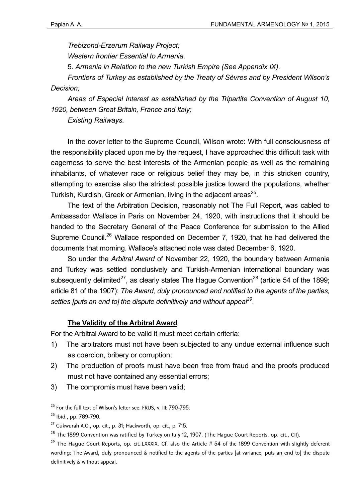*Trebizond-Erzerum Railway Project; Western frontier Essential to Armenia.* 

5. *Armenia in Relation to the new Turkish Empire (See Appendix IX).* 

*Frontiers of Turkey as established by the Treaty of Sèvres and by President Wilson's Decision;* 

*Areas of Especial Interest as established by the Tripartite Convention of August 10, 1920, between Great Britain, France and Italy;* 

*Existing Railways.* 

In the cover letter to the Supreme Council, Wilson wrote: With full consciousness of the responsibility placed upon me by the request, I have approached this difficult task with eagerness to serve the best interests of the Armenian people as well as the remaining inhabitants, of whatever race or religious belief they may be, in this stricken country, attempting to exercise also the strictest possible justice toward the populations, whether Turkish, Kurdish, Greek or Armenian, living in the adiacent areas<sup>25</sup>.

The text of the Arbitration Decision, reasonably not The Full Report, was cabled to Ambassador Wallace in Paris on November 24, 1920, with instructions that it should be handed to the Secretary General of the Peace Conference for submission to the Allied Supreme Council.<sup>26</sup> Wallace responded on December 7, 1920, that he had delivered the documents that morning. Wallace's attached note was dated December 6, 1920.

So under the *Arbitral Award* of November 22, 1920, the boundary between Armenia and Turkey was settled conclusively and Turkish-Armenian international boundary was subsequently delimited<sup>27</sup>, as clearly states The Haque Convention<sup>28</sup> (article 54 of the 1899; article 81 of the 1907): *The Award, duly pronounced and notified to the agents of the parties, settles [puts an end to] the dispute definitively and without appeal29.*

# **The Validity of the Arbitral Award**

For the Arbitral Award to be valid it must meet certain criteria:

- 1) The arbitrators must not have been subjected to any undue external influence such as coercion, bribery or corruption;
- 2) The production of proofs must have been free from fraud and the proofs produced must not have contained any essential errors;
- 3) The compromis must have been valid;

<sup>&</sup>lt;u>.</u>  $^{25}$  For the full text of Wilson's letter see: FRUS, v. III: 790-795.

<sup>26</sup> Ibid., pp. 789-790.

 $27$  Cukwurah A.O., op. cit., p. 31; Hackworth, op. cit., p. 715.

 $^{28}$  The 1899 Convention was ratified by Turkey on July 12, 1907. (The Hague Court Reports, op. cit., CII).

 $29$  The Hague Court Reports, op. cit.:LXXXIX. Cf. also the Article # 54 of the 1899 Convention with slightly deferent wording: The Award, duly pronounced & notified to the agents of the parties [at variance, puts an end to] the dispute definitively & without appeal.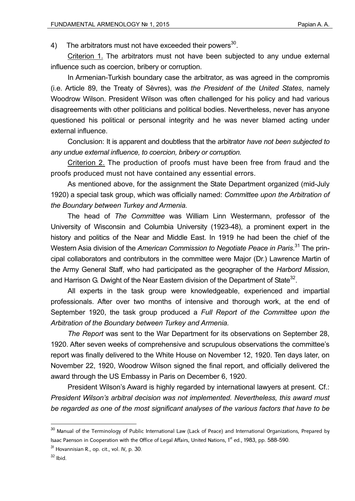4) The arbitrators must not have exceeded their powers<sup>30</sup>.

Criterion 1. The arbitrators must not have been subjected to any undue external influence such as coercion, bribery or corruption.

In Armenian-Turkish boundary case the arbitrator, as was agreed in the compromis (i.e. Article 89, the Treaty of Sèvres), was *the President of the United States*, namely Woodrow Wilson. President Wilson was often challenged for his policy and had various disagreements with other politicians and political bodies. Nevertheless, never has anyone questioned his political or personal integrity and he was never blamed acting under external influence.

Conclusion: It is apparent and doubtless that the arbitrator *have not been subjected to any undue external influence, to coercion, bribery or corruption.* 

Criterion 2. The production of proofs must have been free from fraud and the proofs produced must not have contained any essential errors.

As mentioned above, for the assignment the State Department organized (mid-July 1920) a special task group, which was officially named: *Committee upon the Arbitration of the Boundary between Turkey and Armenia.*

The head of *The Committee* was William Linn Westermann, professor of the University of Wisconsin and Columbia University (1923-48), a prominent expert in the history and politics of the Near and Middle East. In 1919 he had been the chief of the Western Asia division of the *American Commission to Negotiate Peace in Paris*. 31 The principal collaborators and contributors in the committee were Major (Dr.) Lawrence Martin of the Army General Staff, who had participated as the geographer of the *Harbord Mission*, and Harrison G. Dwight of the Near Eastern division of the Department of State<sup>32</sup>.

All experts in the task group were knowledgeable, experienced and impartial professionals. After over two months of intensive and thorough work, at the end of September 1920, the task group produced a *Full Report of the Committee upon the Arbitration of the Boundary between Turkey and Armenia.* 

*The Report* was sent to the War Department for its observations on September 28, 1920. After seven weeks of comprehensive and scrupulous observations the committee's report was finally delivered to the White House on November 12, 1920. Ten days later, on November 22, 1920, Woodrow Wilson signed the final report, and officially delivered the award through the US Embassy in Paris on December 6, 1920.

President Wilson's Award is highly regarded by international lawyers at present. Cf.: *President Wilson's arbitral decision was not implemented. Nevertheless, this award must be regarded as one of the most significant analyses of the various factors that have to be* 

 $^{\rm 30}$  Manual of the Terminology of Public International Law (Lack of Peace) and International Organizations, Prepared by Isaac Paenson in Cooperation with the Office of Legal Affairs, United Nations, 1<sup>st</sup> ed., 1983, pp. 588-590.

 $31$  Hovannisian R., op. cit., vol. IV, p. 30.

 $32$  Ibid.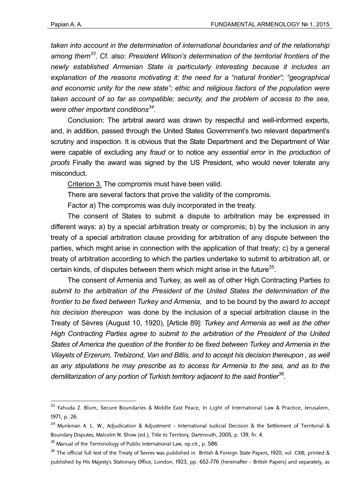<u>.</u>

*taken into account in the determination of international boundaries and of the relationship among them33.* Cf. also: *President Wilson's determination of the territorial frontiers of the newly established Armenian State is particularly interesting because it includes an explanation of the reasons motivating it: the need for a "natural frontier"; "geographical and economic unity for the new state"; ethic and religious factors of the population were taken account of so far as compatible; security, and the problem of access to the sea, were other important conditions34.*

Conclusion: The arbitral award was drawn by respectful and well-informed experts, and, in addition, passed through the United States Government's two relevant department's scrutiny and inspection. It is obvious that the State Department and the Department of War were capable of excluding any *fraud* or to notice any *essential error* in *the production of proofs* Finally the award was signed by the US President, who would never tolerate any misconduct.

Criterion 3. The compromis must have been valid.

There are several factors that prove the validity of the compromis.

Factor a) The compromis was duly incorporated in the treaty.

The consent of States to submit a dispute to arbitration may be expressed in different ways: a) by a special arbitration treaty or compromis; b) by the inclusion in any treaty of a special arbitration clause providing for arbitration of any dispute between the parties, which might arise in connection with the application of that treaty; c) by a general treaty of arbitration according to which the parties undertake to submit to arbitration all, or certain kinds, of disputes between them which might arise in the future<sup>35</sup>.

The consent of Armenia and Turkey, as well as of other High Contracting Parties *to submit to the arbitration of the President of the United States the determination of the frontier to be fixed between Turkey and Armenia,* and to be bound by the award *to accept his decision thereupon* was done by the inclusion of a special arbitration clause in the Treaty of Sèvres (August 10, 1920), [Article 89]: *Turkey and Armenia as well as the other High Contracting Parties agree to submit to the arbitration of the President of the United States of America the question of the frontier to be fixed between Turkey and Armenia in the Vilayets of Erzerum, Trebizond, Van and Bitlis, and to accept his decision thereupon , as well as any stipulations he may prescribe as to access for Armenia to the sea, and as to the*  demilitarization of any portion of Turkish territory adjacent to the said frontier<sup>36</sup>.

<sup>33</sup> Yahuda Z. Blum, Secure Boundaries & Middle East Peace, In Light of International Law & Practice, Jerusalem, 1971, p. 26.

 $34$  Munkman A. L. W., Adjudication & Adjustment - International Judicial Decision & the Settlement of Territorial & Boundary Disputes, Malcolm N. Show (ed.), Title to Territory, Dartmouth, 2005, p. 139, fn. 4.

 $35$  Manual of the Terminology of Public International Law, op.cit., p. 586.

 $36$  The official full text of the Treaty of Sevres was published in British & Foreign State Papers, 1920, vol. CXIII, printed & published by His Majesty's Stationary Office, London, 1923, pp. 652-776 (hereinafter - British Papers) and separately, as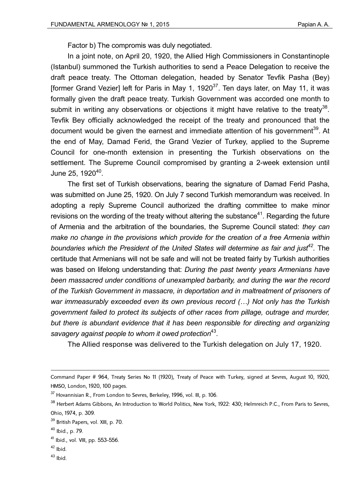Factor b) The compromis was duly negotiated.

In a joint note, on April 20, 1920, the Allied High Commissioners in Constantinople (Istanbul) summoned the Turkish authorities to send a Peace Delegation to receive the draft peace treaty. The Ottoman delegation, headed by Senator Tevfik Pasha (Bey) [former Grand Vezier] left for Paris in May 1, 1920 $37$ . Ten days later, on May 11, it was formally given the draft peace treaty. Turkish Government was accorded one month to submit in writing any observations or objections it might have relative to the treaty<sup>38</sup>. Tevfik Bey officially acknowledged the receipt of the treaty and pronounced that the document would be given the earnest and immediate attention of his government<sup>39</sup>. At the end of May, Damad Ferid, the Grand Vezier of Turkey, applied to the Supreme Council for one-month extension in presenting the Turkish observations on the settlement. The Supreme Council compromised by granting a 2-week extension until June 25, 1920<sup>40</sup>.

The first set of Turkish observations, bearing the signature of Damad Ferid Pasha, was submitted on June 25, 1920. On July 7 second Turkish memorandum was received. In adopting a reply Supreme Council authorized the drafting committee to make minor revisions on the wording of the treaty without altering the substance<sup>41</sup>. Regarding the future of Armenia and the arbitration of the boundaries, the Supreme Council stated: *they can make no change in the provisions which provide for the creation of a free Armenia within*  boundaries which the President of the United States will determine as fair and just<sup>42</sup>. The certitude that Armenians will not be safe and will not be treated fairly by Turkish authorities was based on lifelong understanding that: *During the past twenty years Armenians have been massacred under conditions of unexampled barbarity, and during the war the record of the Turkish Government in massacre, in deportation and in maltreatment of prisoners of war immeasurably exceeded even its own previous record (…) Not only has the Turkish government failed to protect its subjects of other races from pillage, outrage and murder,*  but there is abundant evidence that it has been responsible for directing and organizing *savagery against people to whom it owed protection*<sup>43</sup>*.* 

The Allied response was delivered to the Turkish delegation on July 17, 1920.

<u>.</u>

 $43$  Ibid.

Command Paper # 964, Treaty Series No 11 (1920), Treaty of Peace with Turkey, signed at Sevres, August 10, 1920, HMSO, London, 1920, 100 pages.

<sup>&</sup>lt;sup>37</sup> Hovannisian R., From London to Sevres, Berkeley, 1996, vol. III, p. 106.

<sup>&</sup>lt;sup>38</sup> Herbert Adams Gibbons, An Introduction to World Politics, New York, 1922: 430; Helmreich P.C., From Paris to Sevres, Ohio, 1974, p. 309.

<sup>39</sup> British Papers, vol. XIII, p. 70.

 $40$  Ibid., p. 79.

 $41$  Ibid., vol. VIII, pp. 553-556.

 $42$  Ibid.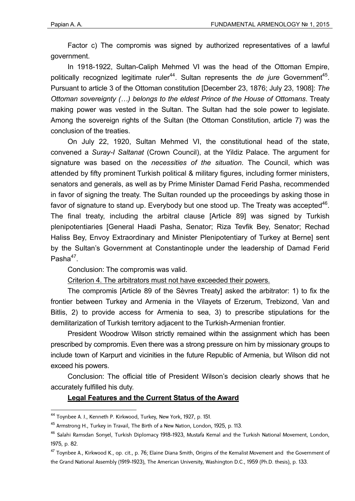Factor c) The compromis was signed by authorized representatives of a lawful government.

In 1918-1922, Sultan-Caliph Mehmed VI was the head of the Ottoman Empire, politically recognized legitimate ruler<sup>44</sup>. Sultan represents the *de jure* Government<sup>45</sup>. Pursuant to article 3 of the Ottoman constitution [December 23, 1876; July 23, 1908]: *The Ottoman sovereignty (…) belongs to the eldest Prince of the House of Ottomans*. Treaty making power was vested in the Sultan. The Sultan had the sole power to legislate. Among the sovereign rights of the Sultan (the Ottoman Constitution, article 7) was the conclusion of the treaties.

On July 22, 1920, Sultan Mehmed VI, the constitutional head of the state, convened a *Suray-I Saltanat* (Crown Council), at the Yildiz Palace. The argument for signature was based on the *necessities of the situation*. The Council, which was attended by fifty prominent Turkish political & military figures, including former ministers, senators and generals, as well as by Prime Minister Damad Ferid Pasha, recommended in favor of signing the treaty. The Sultan rounded up the proceedings by asking those in favor of signature to stand up. Everybody but one stood up. The Treaty was accepted $46$ . The final treaty, including the arbitral clause [Article 89] was signed by Turkish plenipotentiaries [General Haadi Pasha, Senator; Riza Tevfik Bey, Senator; Rechad Haliss Bey, Envoy Extraordinary and Minister Plenipotentiary of Turkey at Berne] sent by the Sultan's Government at Constantinople under the leadership of Damad Ferid Pasha $47$ .

Conclusion: The compromis was valid.

Criterion 4. The arbitrators must not have exceeded their powers.

The compromis [Article 89 of the Sèvres Treaty] asked the arbitrator: 1) to fix the frontier between Turkey and Armenia in the Vilayets of Erzerum, Trebizond, Van and Bitlis, 2) to provide access for Armenia to sea, 3) to prescribe stipulations for the demilitarization of Turkish territory adjacent to the Turkish-Armenian frontier.

President Woodrow Wilson strictly remained within the assignment which has been prescribed by compromis. Even there was a strong pressure on him by missionary groups to include town of Karpurt and vicinities in the future Republic of Armenia, but Wilson did not exceed his powers.

Conclusion: The official title of President Wilson's decision clearly shows that he accurately fulfilled his duty.

#### **Legal Features and the Current Status of the Award**

<sup>44</sup> Toynbee A. J., Kenneth P. Kirkwood, Turkey, New York, 1927, p. 151.

<sup>45</sup> Armstrong H., Turkey in Travail, The Birth of a New Nation, London, 1925, p. 113.

<sup>&</sup>lt;sup>46</sup> Salahi Ramsdan Sonyel, Turkish Diplomacy 1918-1923, Mustafa Kemal and the Turkish National Movement, London, 1975, p. 82.

 $^{47}$  Toynbee A., Kirkwood K., op. cit., p. 76; Elaine Diana Smith, Origins of the Kemalist Movement and the Government of the Grand National Assembly (1919-1923), The American University, Washington D.C., 1959 (Ph.D. thesis), p. 133.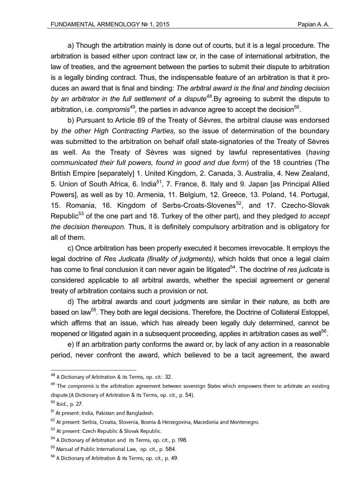a) Though the arbitration mainly is done out of courts, but it is a legal procedure. The arbitration is based either upon contract law or, in the case of international arbitration, the law of treaties, and the agreement between the parties to submit their dispute to arbitration is a legally binding contract. Thus, the indispensable feature of an arbitration is that it produces an award that is final and binding: *The arbitral award is the final and binding decision*  by an arbitrator in the full settlement of a dispute<sup>48</sup>.By agreeing to submit the dispute to arbitration, i.e. *compromis<sup>49</sup>*, the parties in advance agree to accept the decision<sup>50</sup>.

b) Pursuant to Article 89 of the Treaty of Sèvres, the arbitral clause was endorsed by *the other High Contracting Parties,* so the issue of determination of the boundary was submitted to the arbitration on behalf ofall state-signatories of the Treaty of Sèvres as well. As the Treaty of Sèvres was signed by lawful representatives (*having communicated their full powers, found in good and due form*) of the 18 countries (The British Empire [separately] 1. United Kingdom, 2. Canada, 3. Australia, 4. New Zealand, 5. Union of South Africa, 6. India<sup>51</sup>, 7. France, 8. Italy and 9. Japan [as Principal Allied Powers], as well as by 10. Armenia, 11. Belgium, 12. Greece, 13. Poland, 14. Portugal, 15. Romania, 16. Kingdom of Serbs-Croats-Slovenes<sup>52</sup>, and 17. Czecho-Slovak Republic<sup>53</sup> of the one part and 18. Turkey of the other part), and they pledged *to accept the decision thereupon.* Thus, it is definitely compulsory arbitration and is obligatory for all of them.

c) Once arbitration has been properly executed it becomes irrevocable. It employs the legal doctrine of *Res Judicata (finality of judgments)*, which holds that once a legal claim has come to final conclusion it can never again be litigated<sup>54</sup>. The doctrine of *res judicata* is considered applicable to all arbitral awards, whether the special agreement or general treaty of arbitration contains such a provision or not.

d) The arbitral awards and court judgments are similar in their nature, as both are based on law<sup>55</sup>. They both are legal decisions. Therefore, the Doctrine of Collateral Estoppel, which affirms that an issue, which has already been legally duly determined, cannot be reopened or litigated again in a subsequent proceeding, applies in arbitration cases as well<sup>56</sup>.

e) If an arbitration party conforms the award or, by lack of any action in a reasonable period, never confront the award, which believed to be a tacit agreement, the award

<u>.</u>

<sup>48</sup> A Dictionary of Arbitration & its Terms, op. cit.: 32.

<sup>&</sup>lt;sup>49</sup> The *compromis* is the arbitration agreement between sovereign States which empowers them to arbitrate an existing dispute.(A Dictionary of Arbitration & its Terms, op. cit., p. 54).

<sup>50</sup> Ibid., p. 27.

<sup>51</sup> At present: India, Pakistan and Bangladesh.

<sup>52</sup> At present: Serbia, Croatia, Slovenia, Bosnia & Herzegovina, Macedonia and Montenegro.

<sup>53</sup> At present: Czech Republic & Slovak Republic.

<sup>54</sup> A Dictionary of Arbitration and its Terms, op. cit., p. 198.

<sup>55</sup> Manual of Public International Law, op. cit., p. 584.

<sup>56</sup> A Dictionary of Arbitration & its Terms, op. cit., p. 49.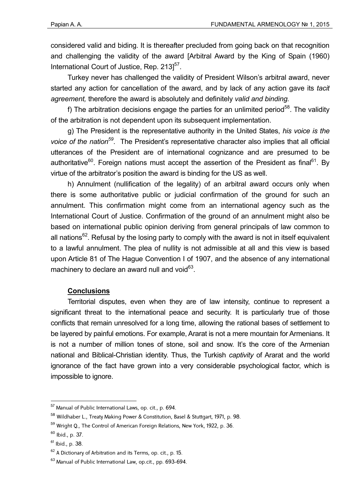considered valid and biding. It is thereafter precluded from going back on that recognition and challenging the validity of the award [Arbitral Award by the King of Spain (1960) International Court of Justice, Rep.  $213$ <sup>57</sup>.

Turkey never has challenged the validity of President Wilson's arbitral award, never started any action for cancellation of the award, and by lack of any action gave its *tacit agreement,* therefore the award is absolutely and definitely *valid and binding.*

f) The arbitration decisions engage the parties for an unlimited period<sup>58</sup>. The validity of the arbitration is not dependent upon its subsequent implementation.

g) The President is the representative authority in the United States, *his voice is the voice of the nation59.* The President's representative character also implies that all official utterances of the President are of international cognizance and are presumed to be authoritative<sup>60</sup>. Foreign nations must accept the assertion of the President as final<sup>61</sup>. By virtue of the arbitrator's position the award is binding for the US as well.

h) Annulment (nullification of the legality) of an arbitral award occurs only when there is some authoritative public or judicial confirmation of the ground for such an annulment. This confirmation might come from an international agency such as the International Court of Justice. Confirmation of the ground of an annulment might also be based on international public opinion deriving from general principals of law common to all nations<sup>62</sup>. Refusal by the losing party to comply with the award is not in itself equivalent to a lawful annulment. The plea of nullity is not admissible at all and this view is based upon Article 81 of The Hague Convention I of 1907, and the absence of any international machinery to declare an award null and void $^{63}$ .

## **Conclusions**

Territorial disputes, even when they are of law intensity, continue to represent a significant threat to the international peace and security. It is particularly true of those conflicts that remain unresolved for a long time, allowing the rational bases of settlement to be layered by painful emotions. For example, Ararat is not a mere mountain for Armenians. It is not a number of million tones of stone, soil and snow. It's the core of the Armenian national and Biblical-Christian identity. Thus, the Turkish *captivity* of Ararat and the world ignorance of the fact have grown into a very considerable psychological factor, which is impossible to ignore.

<u>.</u>

<sup>&</sup>lt;sup>57</sup> Manual of Public International Laws, op. cit., p. 694.

<sup>58</sup> Wildhaber L., Treaty Making Power & Constitution, Basel & Stuttgart, 1971, p. 98.

<sup>&</sup>lt;sup>59</sup> Wright Q., The Control of American Foreign Relations, New York, 1922, p. 36.

 $60$  Ibid., p. 37.

 $61$  Ibid., p. 38.

<sup>62</sup> A Dictionary of Arbitration and its Terms, op. cit., p. 15.

<sup>63</sup> Manual of Public International Law, op.cit., pp. 693-694.